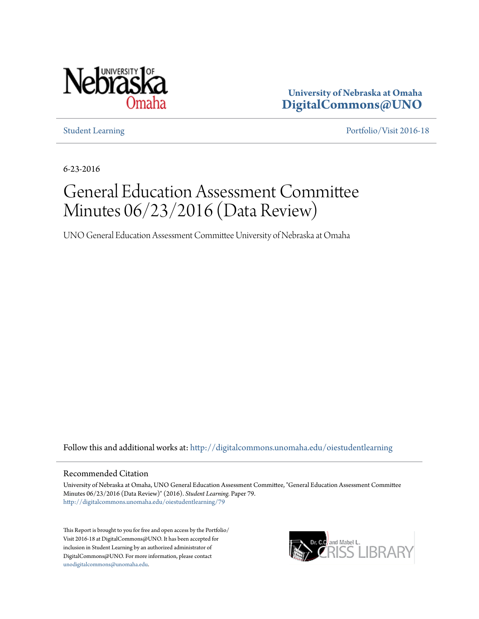

**University of Nebraska at Omaha [DigitalCommons@UNO](http://digitalcommons.unomaha.edu?utm_source=digitalcommons.unomaha.edu%2Foiestudentlearning%2F79&utm_medium=PDF&utm_campaign=PDFCoverPages)**

[Student Learning](http://digitalcommons.unomaha.edu/oiestudentlearning?utm_source=digitalcommons.unomaha.edu%2Foiestudentlearning%2F79&utm_medium=PDF&utm_campaign=PDFCoverPages) [Portfolio/Visit 2016-18](http://digitalcommons.unomaha.edu/oieportfolio?utm_source=digitalcommons.unomaha.edu%2Foiestudentlearning%2F79&utm_medium=PDF&utm_campaign=PDFCoverPages)

6-23-2016

# General Education Assessment Committee Minutes 06/23/2016 (Data Review)

UNO General Education Assessment Committee University of Nebraska at Omaha

Follow this and additional works at: [http://digitalcommons.unomaha.edu/oiestudentlearning](http://digitalcommons.unomaha.edu/oiestudentlearning?utm_source=digitalcommons.unomaha.edu%2Foiestudentlearning%2F79&utm_medium=PDF&utm_campaign=PDFCoverPages)

#### Recommended Citation

University of Nebraska at Omaha, UNO General Education Assessment Committee, "General Education Assessment Committee Minutes 06/23/2016 (Data Review)" (2016). *Student Learning.* Paper 79. [http://digitalcommons.unomaha.edu/oiestudentlearning/79](http://digitalcommons.unomaha.edu/oiestudentlearning/79?utm_source=digitalcommons.unomaha.edu%2Foiestudentlearning%2F79&utm_medium=PDF&utm_campaign=PDFCoverPages)

This Report is brought to you for free and open access by the Portfolio/ Visit 2016-18 at DigitalCommons@UNO. It has been accepted for inclusion in Student Learning by an authorized administrator of DigitalCommons@UNO. For more information, please contact [unodigitalcommons@unomaha.edu](mailto:unodigitalcommons@unomaha.edu).

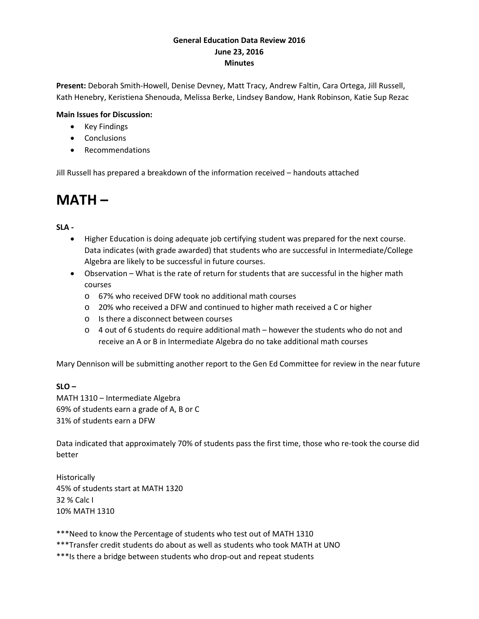### **General Education Data Review 2016 June 23, 2016 Minutes**

**Present:** Deborah Smith-Howell, Denise Devney, Matt Tracy, Andrew Faltin, Cara Ortega, Jill Russell, Kath Henebry, Keristiena Shenouda, Melissa Berke, Lindsey Bandow, Hank Robinson, Katie Sup Rezac

### **Main Issues for Discussion:**

- Key Findings
- Conclusions
- Recommendations

Jill Russell has prepared a breakdown of the information received – handouts attached

### **MATH –**

### **SLA -**

- Higher Education is doing adequate job certifying student was prepared for the next course. Data indicates (with grade awarded) that students who are successful in Intermediate/College Algebra are likely to be successful in future courses.
- Observation What is the rate of return for students that are successful in the higher math courses
	- o 67% who received DFW took no additional math courses
	- o 20% who received a DFW and continued to higher math received a C or higher
	- o Is there a disconnect between courses
	- $\circ$  4 out of 6 students do require additional math however the students who do not and receive an A or B in Intermediate Algebra do no take additional math courses

Mary Dennison will be submitting another report to the Gen Ed Committee for review in the near future

### **SLO –**

MATH 1310 – Intermediate Algebra 69% of students earn a grade of A, B or C 31% of students earn a DFW

Data indicated that approximately 70% of students pass the first time, those who re-took the course did better

**Historically** 45% of students start at MATH 1320 32 % Calc I 10% MATH 1310

\*\*\*Need to know the Percentage of students who test out of MATH 1310

\*\*\*Transfer credit students do about as well as students who took MATH at UNO

\*\*\*Is there a bridge between students who drop-out and repeat students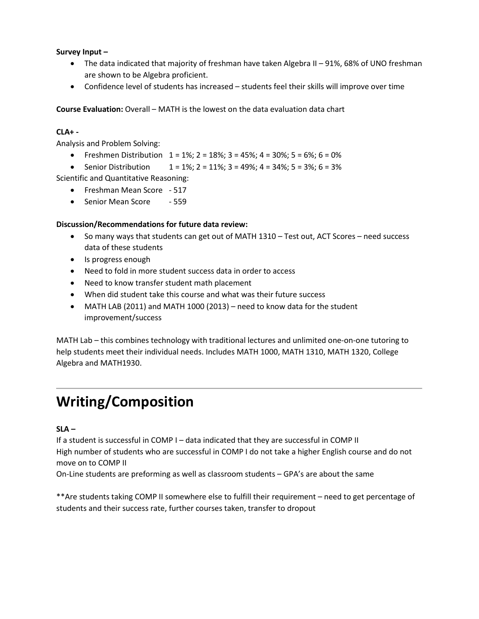### **Survey Input –**

- The data indicated that majority of freshman have taken Algebra II 91%, 68% of UNO freshman are shown to be Algebra proficient.
- Confidence level of students has increased students feel their skills will improve over time

**Course Evaluation:** Overall – MATH is the lowest on the data evaluation data chart

### **CLA+ -**

Analysis and Problem Solving:

- Freshmen Distribution  $1 = 1\%$ ;  $2 = 18\%$ ;  $3 = 45\%$ ;  $4 = 30\%$ ;  $5 = 6\%$ ;  $6 = 0\%$
- Senior Distribution  $1 = 1\%$ ;  $2 = 11\%$ ;  $3 = 49\%$ ;  $4 = 34\%$ ;  $5 = 3\%$ ;  $6 = 3\%$

Scientific and Quantitative Reasoning:

- Freshman Mean Score 517
- Senior Mean Score 559

### **Discussion/Recommendations for future data review:**

- So many ways that students can get out of MATH 1310 Test out, ACT Scores need success data of these students
- Is progress enough
- Need to fold in more student success data in order to access
- Need to know transfer student math placement
- When did student take this course and what was their future success
- MATH LAB (2011) and MATH 1000 (2013) need to know data for the student improvement/success

MATH Lab – this combines technology with traditional lectures and unlimited one-on-one tutoring to help students meet their individual needs. Includes MATH 1000, MATH 1310, MATH 1320, College Algebra and MATH1930.

## **Writing/Composition**

### **SLA –**

If a student is successful in COMP I – data indicated that they are successful in COMP II High number of students who are successful in COMP I do not take a higher English course and do not move on to COMP II

On-Line students are preforming as well as classroom students – GPA's are about the same

\*\*Are students taking COMP II somewhere else to fulfill their requirement – need to get percentage of students and their success rate, further courses taken, transfer to dropout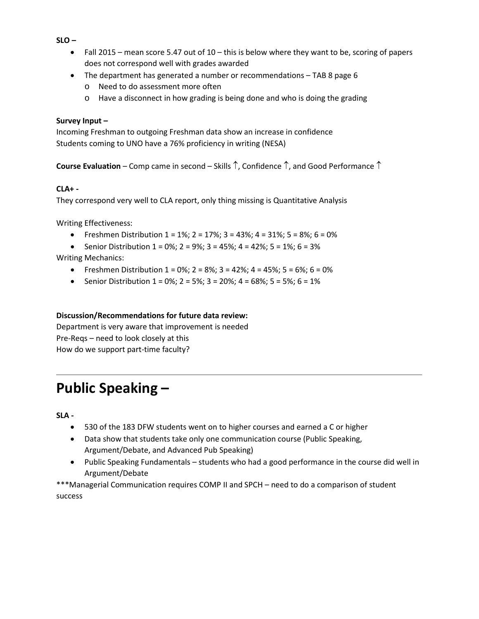**SLO –**

- Fall 2015 mean score 5.47 out of  $10 -$  this is below where they want to be, scoring of papers does not correspond well with grades awarded
- The department has generated a number or recommendations TAB 8 page 6
	- o Need to do assessment more often
	- o Have a disconnect in how grading is being done and who is doing the grading

### **Survey Input –**

Incoming Freshman to outgoing Freshman data show an increase in confidence Students coming to UNO have a 76% proficiency in writing (NESA)

**Course Evaluation** – Comp came in second – Skills ↑, Confidence ↑, and Good Performance ↑

### **CLA+ -**

They correspond very well to CLA report, only thing missing is Quantitative Analysis

Writing Effectiveness:

- Freshmen Distribution  $1 = 1\%$ ;  $2 = 17\%$ ;  $3 = 43\%$ ;  $4 = 31\%$ ;  $5 = 8\%$ ;  $6 = 0\%$
- Senior Distribution  $1 = 0\%$ ;  $2 = 9\%$ ;  $3 = 45\%$ ;  $4 = 42\%$ ;  $5 = 1\%$ ;  $6 = 3\%$

Writing Mechanics:

- Freshmen Distribution  $1 = 0\%$ ;  $2 = 8\%$ ;  $3 = 42\%$ ;  $4 = 45\%$ ;  $5 = 6\%$ ;  $6 = 0\%$
- Senior Distribution  $1 = 0\%$ ;  $2 = 5\%$ ;  $3 = 20\%$ ;  $4 = 68\%$ ;  $5 = 5\%$ ;  $6 = 1\%$

### **Discussion/Recommendations for future data review:**

Department is very aware that improvement is needed Pre-Reqs – need to look closely at this How do we support part-time faculty?

## **Public Speaking –**

**SLA -**

- 530 of the 183 DFW students went on to higher courses and earned a C or higher
- Data show that students take only one communication course (Public Speaking, Argument/Debate, and Advanced Pub Speaking)
- Public Speaking Fundamentals students who had a good performance in the course did well in Argument/Debate

\*\*\*Managerial Communication requires COMP II and SPCH – need to do a comparison of student success